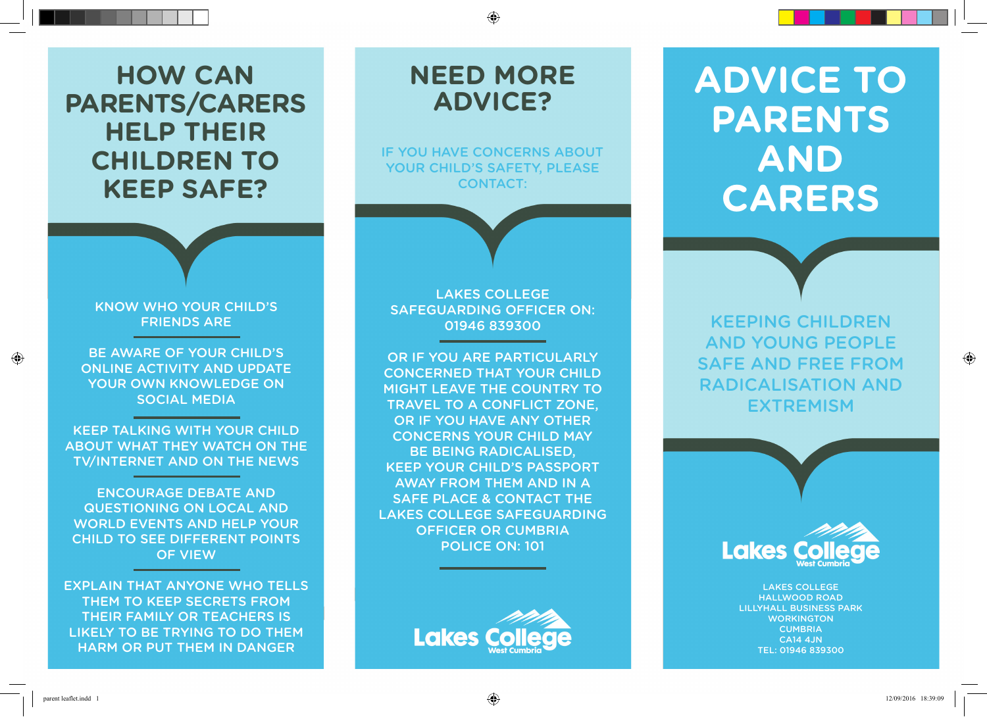# **How can parents/carers help their children to keep safe?**

### Know who your child's friends are

Be aware of your child's online activity and update your own knowledge on social media

Keep talking with your child about what they watch on the TV/Internet and on the news

Encourage debate and questioning on local and world events and help your child to see different points of view

Explain that anyone who tells them to keep secrets from their family or teachers is likely to be trying to do them harm or put them in danger

## LAKES COLLEGE safeguarding officer on: 01946 839300

**need more** 

**Advice?**

if you have concerns aBout YOUR CHILD'S SAFETY, PLEASE CONTACT:

or if you are particularly concerned that your child might leave the country to travel to a conflict zone, or if you have any other concerns your child may Be Being radicalised, Keep your child's passport away from them and in a safe place & contact the laKes college safeguarding officer or cumBria police on: 101



# **Advice to Parents and Carers**

Keeping children and young people safe and free from radicalisation and **EXTREMISM** 



Lakes College Hallwood Road Lillyhall Business Park **WORKINGTON CUMBRIA**  $C$  $A$ 14  $A$  IN Tel: 01946 839300